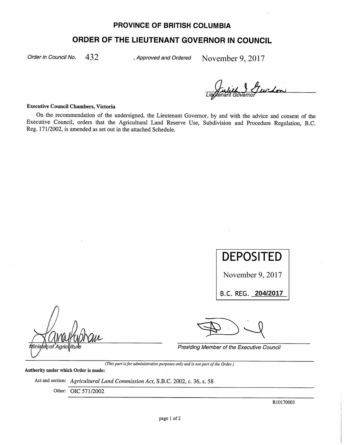## **PROVINCE OF BRITISH COLUMBIA**

## ORDER OF THE LIEUTENANT GOVERNOR IN COUNCIL

Order in Council No.

432 Approved and Ordered November 9, 2017

## **Executive Council Chambers, Victoria**

On the recommendation of the undersigned, the Lieutenant Governor, by and with the advice and consent of the Executive Council, orders that the Agricultural Land Reserve Use, Subdivision and Procedure Regulation, B.C. Reg. 171/2002, is amended as set out in the attached Schedule.

DEPOSITED November 9, 2017 B.C. REG. 204/2017 | Minister/of Agric Presiding Member of the Executive Council

(This part is for administrative purposes only and is not part of the Order.)

Authority under which Order is made:

Act and section: Agricultural Land Commission Act, S.B.C. 2002, c. 36, s. 58

Other: OIC 571/2002

R10170003